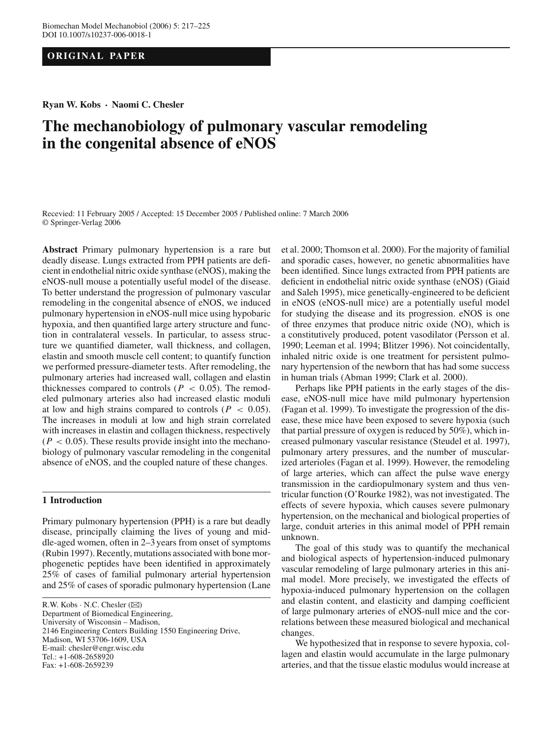**ORIGINAL PAPER**

**Ryan W. Kobs · Naomi C. Chesler**

# **The mechanobiology of pulmonary vascular remodeling in the congenital absence of eNOS**

Recevied: 11 February 2005 / Accepted: 15 December 2005 / Published online: 7 March 2006 © Springer-Verlag 2006

**Abstract** Primary pulmonary hypertension is a rare but deadly disease. Lungs extracted from PPH patients are deficient in endothelial nitric oxide synthase (eNOS), making the eNOS-null mouse a potentially useful model of the disease. To better understand the progression of pulmonary vascular remodeling in the congenital absence of eNOS, we induced pulmonary hypertension in eNOS-null mice using hypobaric hypoxia, and then quantified large artery structure and function in contralateral vessels. In particular, to assess structure we quantified diameter, wall thickness, and collagen, elastin and smooth muscle cell content; to quantify function we performed pressure-diameter tests. After remodeling, the pulmonary arteries had increased wall, collagen and elastin thicknesses compared to controls ( $P < 0.05$ ). The remodeled pulmonary arteries also had increased elastic moduli at low and high strains compared to controls ( $P < 0.05$ ). The increases in moduli at low and high strain correlated with increases in elastin and collagen thickness, respectively  $(P < 0.05)$ . These results provide insight into the mechanobiology of pulmonary vascular remodeling in the congenital absence of eNOS, and the coupled nature of these changes.

# **1 Introduction**

Primary pulmonary hypertension (PPH) is a rare but deadly disease, principally claiming the lives of young and middle-aged women, often in 2–3 years from onset of symptoms (Rubin 1997). Recently, mutations associated with bone morphogenetic peptides have been identified in approximately 25% of cases of familial pulmonary arterial hypertension and 25% of cases of sporadic pulmonary hypertension (Lane et al. 2000; Thomson et al. 2000). For the majority of familial and sporadic cases, however, no genetic abnormalities have been identified. Since lungs extracted from PPH patients are deficient in endothelial nitric oxide synthase (eNOS) (Giaid and Saleh 1995), mice genetically-engineered to be deficient in eNOS (eNOS-null mice) are a potentially useful model for studying the disease and its progression. eNOS is one of three enzymes that produce nitric oxide (NO), which is a constitutively produced, potent vasodilator (Persson et al. 1990; Leeman et al. 1994; Blitzer 1996). Not coincidentally, inhaled nitric oxide is one treatment for persistent pulmonary hypertension of the newborn that has had some success in human trials (Abman 1999; Clark et al. 2000).

Perhaps like PPH patients in the early stages of the disease, eNOS-null mice have mild pulmonary hypertension (Fagan et al. 1999). To investigate the progression of the disease, these mice have been exposed to severe hypoxia (such that partial pressure of oxygen is reduced by 50%), which increased pulmonary vascular resistance (Steudel et al. 1997), pulmonary artery pressures, and the number of muscularized arterioles (Fagan et al. 1999). However, the remodeling of large arteries, which can affect the pulse wave energy transmission in the cardiopulmonary system and thus ventricular function (O'Rourke 1982), was not investigated. The effects of severe hypoxia, which causes severe pulmonary hypertension, on the mechanical and biological properties of large, conduit arteries in this animal model of PPH remain unknown.

The goal of this study was to quantify the mechanical and biological aspects of hypertension-induced pulmonary vascular remodeling of large pulmonary arteries in this animal model. More precisely, we investigated the effects of hypoxia-induced pulmonary hypertension on the collagen and elastin content, and elasticity and damping coefficient of large pulmonary arteries of eNOS-null mice and the correlations between these measured biological and mechanical changes.

We hypothesized that in response to severe hypoxia, collagen and elastin would accumulate in the large pulmonary arteries, and that the tissue elastic modulus would increase at

R.W. Kobs · N.C. Chesler (⊠) Department of Biomedical Engineering, University of Wisconsin – Madison, 2146 Engineering Centers Building 1550 Engineering Drive, Madison, WI 53706-1609, USA E-mail: chesler@engr.wisc.edu Tel.: +1-608-2658920 Fax: +1-608-2659239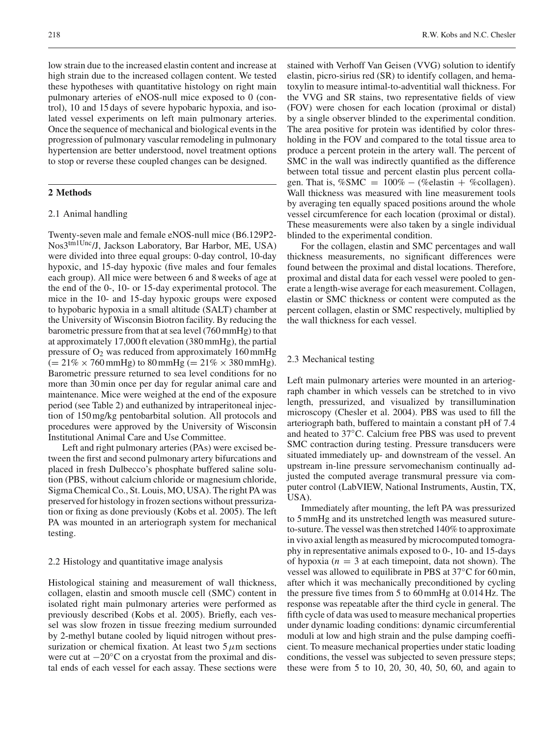low strain due to the increased elastin content and increase at high strain due to the increased collagen content. We tested these hypotheses with quantitative histology on right main pulmonary arteries of eNOS-null mice exposed to 0 (control), 10 and 15 days of severe hypobaric hypoxia, and isolated vessel experiments on left main pulmonary arteries. Once the sequence of mechanical and biological events in the progression of pulmonary vascular remodeling in pulmonary hypertension are better understood, novel treatment options to stop or reverse these coupled changes can be designed.

# **2 Methods**

# 2.1 Animal handling

Twenty-seven male and female eNOS-null mice (B6.129P2- Nos3tm1Unc/J, Jackson Laboratory, Bar Harbor, ME, USA) were divided into three equal groups: 0-day control, 10-day hypoxic, and 15-day hypoxic (five males and four females each group). All mice were between 6 and 8 weeks of age at the end of the 0-, 10- or 15-day experimental protocol. The mice in the 10- and 15-day hypoxic groups were exposed to hypobaric hypoxia in a small altitude (SALT) chamber at the University of Wisconsin Biotron facility. By reducing the barometric pressure from that at sea level (760 mmHg) to that at approximately 17,000 ft elevation (380 mmHg), the partial pressure of  $O_2$  was reduced from approximately 160 mmHg  $(= 21\% \times 760 \,\text{mmHg})$  to 80 mmHg  $(= 21\% \times 380 \,\text{mmHg})$ . Barometric pressure returned to sea level conditions for no more than 30 min once per day for regular animal care and maintenance. Mice were weighed at the end of the exposure period (see Table 2) and euthanized by intraperitoneal injection of 150 mg/kg pentobarbital solution. All protocols and procedures were approved by the University of Wisconsin Institutional Animal Care and Use Committee.

Left and right pulmonary arteries (PAs) were excised between the first and second pulmonary artery bifurcations and placed in fresh Dulbecco's phosphate buffered saline solution (PBS, without calcium chloride or magnesium chloride, Sigma Chemical Co., St. Louis, MO, USA). The right PA was preserved for histology in frozen sections without pressurization or fixing as done previously (Kobs et al. 2005). The left PA was mounted in an arteriograph system for mechanical testing.

## 2.2 Histology and quantitative image analysis

Histological staining and measurement of wall thickness, collagen, elastin and smooth muscle cell (SMC) content in isolated right main pulmonary arteries were performed as previously described (Kobs et al. 2005). Briefly, each vessel was slow frozen in tissue freezing medium surrounded by 2-methyl butane cooled by liquid nitrogen without pressurization or chemical fixation. At least two  $5 \mu m$  sections were cut at  $-20^{\circ}$ C on a cryostat from the proximal and distal ends of each vessel for each assay. These sections were stained with Verhoff Van Geisen (VVG) solution to identify elastin, picro-sirius red (SR) to identify collagen, and hematoxylin to measure intimal-to-adventitial wall thickness. For the VVG and SR stains, two representative fields of view (FOV) were chosen for each location (proximal or distal) by a single observer blinded to the experimental condition. The area positive for protein was identified by color thres-

holding in the FOV and compared to the total tissue area to produce a percent protein in the artery wall. The percent of SMC in the wall was indirectly quantified as the difference between total tissue and percent elastin plus percent collagen. That is,  $%MC = 100\% - (\%$ elastin + %collagen). Wall thickness was measured with line measurement tools by averaging ten equally spaced positions around the whole vessel circumference for each location (proximal or distal). These measurements were also taken by a single individual blinded to the experimental condition.

For the collagen, elastin and SMC percentages and wall thickness measurements, no significant differences were found between the proximal and distal locations. Therefore, proximal and distal data for each vessel were pooled to generate a length-wise average for each measurement. Collagen, elastin or SMC thickness or content were computed as the percent collagen, elastin or SMC respectively, multiplied by the wall thickness for each vessel.

# 2.3 Mechanical testing

Left main pulmonary arteries were mounted in an arteriograph chamber in which vessels can be stretched to in vivo length, pressurized, and visualized by transillumination microscopy (Chesler et al. 2004). PBS was used to fill the arteriograph bath, buffered to maintain a constant pH of 7.4 and heated to 37◦C. Calcium free PBS was used to prevent SMC contraction during testing. Pressure transducers were situated immediately up- and downstream of the vessel. An upstream in-line pressure servomechanism continually adjusted the computed average transmural pressure via computer control (LabVIEW, National Instruments, Austin, TX, USA).

Immediately after mounting, the left PA was pressurized to 5 mmHg and its unstretched length was measured sutureto-suture. The vessel was then stretched 140% to approximate in vivo axial length as measured by microcomputed tomography in representative animals exposed to 0-, 10- and 15-days of hypoxia ( $n = 3$  at each timepoint, data not shown). The vessel was allowed to equilibrate in PBS at 37◦C for 60 min, after which it was mechanically preconditioned by cycling the pressure five times from 5 to 60 mmHg at 0.014 Hz. The response was repeatable after the third cycle in general. The fifth cycle of data was used to measure mechanical properties under dynamic loading conditions: dynamic circumferential moduli at low and high strain and the pulse damping coefficient. To measure mechanical properties under static loading conditions, the vessel was subjected to seven pressure steps; these were from 5 to 10, 20, 30, 40, 50, 60, and again to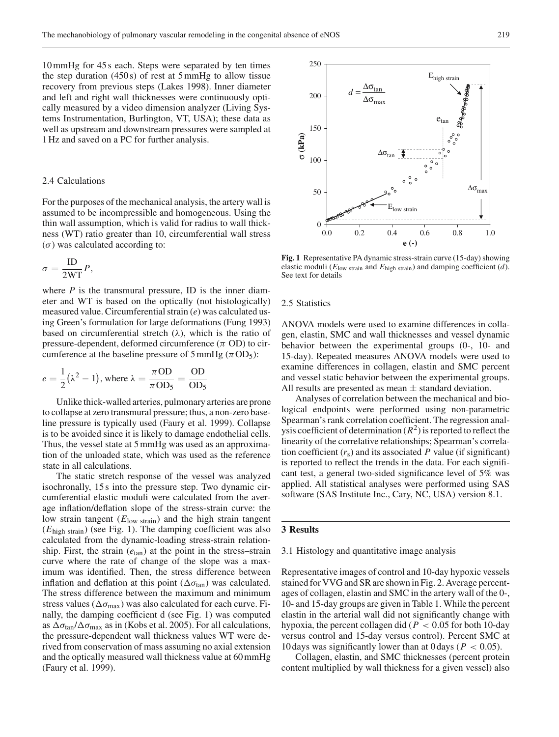10 mmHg for 45 s each. Steps were separated by ten times the step duration  $(450 s)$  of rest at  $5 mmHg$  to allow tissue recovery from previous steps (Lakes 1998). Inner diameter and left and right wall thicknesses were continuously optically measured by a video dimension analyzer (Living Systems Instrumentation, Burlington, VT, USA); these data as well as upstream and downstream pressures were sampled at 1 Hz and saved on a PC for further analysis.

#### 2.4 Calculations

For the purposes of the mechanical analysis, the artery wall is assumed to be incompressible and homogeneous. Using the thin wall assumption, which is valid for radius to wall thickness (WT) ratio greater than 10, circumferential wall stress (σ) was calculated according to:

$$
\sigma = \frac{\text{ID}}{2\text{WT}} P,
$$

where  $P$  is the transmural pressure, ID is the inner diameter and WT is based on the optically (not histologically) measured value. Circumferential strain (*e*) was calculated using Green's formulation for large deformations (Fung 1993) based on circumferential stretch  $(\lambda)$ , which is the ratio of pressure-dependent, deformed circumference  $(\pi$  OD) to circumference at the baseline pressure of  $5 \text{ mmHg} (\pi \text{OD}_5)$ :

$$
e = \frac{1}{2}(\lambda^2 - 1)
$$
, where  $\lambda = \frac{\pi OD}{\pi OD_5} = \frac{OD}{OD_5}$ 

Unlike thick-walled arteries, pulmonary arteries are prone to collapse at zero transmural pressure; thus, a non-zero baseline pressure is typically used (Faury et al. 1999). Collapse is to be avoided since it is likely to damage endothelial cells. Thus, the vessel state at 5 mmHg was used as an approximation of the unloaded state, which was used as the reference state in all calculations.

The static stretch response of the vessel was analyzed isochronally, 15 s into the pressure step. Two dynamic circumferential elastic moduli were calculated from the average inflation/deflation slope of the stress-strain curve: the low strain tangent ( $E_{\text{low strain}}$ ) and the high strain tangent (*E*high strain) (see Fig. 1). The damping coefficient was also calculated from the dynamic-loading stress-strain relationship. First, the strain (*e*tan) at the point in the stress–strain curve where the rate of change of the slope was a maximum was identified. Then, the stress difference between inflation and deflation at this point ( $\Delta \sigma_{tan}$ ) was calculated. The stress difference between the maximum and minimum stress values ( $\Delta \sigma_{\text{max}}$ ) was also calculated for each curve. Finally, the damping coefficient d (see Fig. 1) was computed as  $\Delta\sigma_{tan}/\Delta\sigma_{max}$  as in (Kobs et al. 2005). For all calculations, the pressure-dependent wall thickness values WT were derived from conservation of mass assuming no axial extension and the optically measured wall thickness value at 60 mmHg (Faury et al. 1999).



**Fig. 1** Representative PA dynamic stress-strain curve (15-day) showing elastic moduli (*E*low strain and *E*high strain) and damping coefficient (*d*). See text for details

## 2.5 Statistics

250

ANOVA models were used to examine differences in collagen, elastin, SMC and wall thicknesses and vessel dynamic behavior between the experimental groups (0-, 10- and 15-day). Repeated measures ANOVA models were used to examine differences in collagen, elastin and SMC percent and vessel static behavior between the experimental groups. All results are presented as mean  $\pm$  standard deviation.

Analyses of correlation between the mechanical and biological endpoints were performed using non-parametric Spearman's rank correlation coefficient. The regression analysis coefficient of determination  $(R^2)$  is reported to reflect the linearity of the correlative relationships; Spearman's correlation coefficient  $(r<sub>s</sub>)$  and its associated  $P$  value (if significant) is reported to reflect the trends in the data. For each significant test, a general two-sided significance level of 5% was applied. All statistical analyses were performed using SAS software (SAS Institute Inc., Cary, NC, USA) version 8.1.

# **3 Results**

#### 3.1 Histology and quantitative image analysis

Representative images of control and 10-day hypoxic vessels stained for VVG and SR are shown in Fig. 2. Average percentages of collagen, elastin and SMC in the artery wall of the 0-, 10- and 15-day groups are given in Table 1. While the percent elastin in the arterial wall did not significantly change with hypoxia, the percent collagen did (*P* < 0.05 for both 10-day versus control and 15-day versus control). Percent SMC at 10 days was significantly lower than at 0 days ( $P < 0.05$ ).

Collagen, elastin, and SMC thicknesses (percent protein content multiplied by wall thickness for a given vessel) also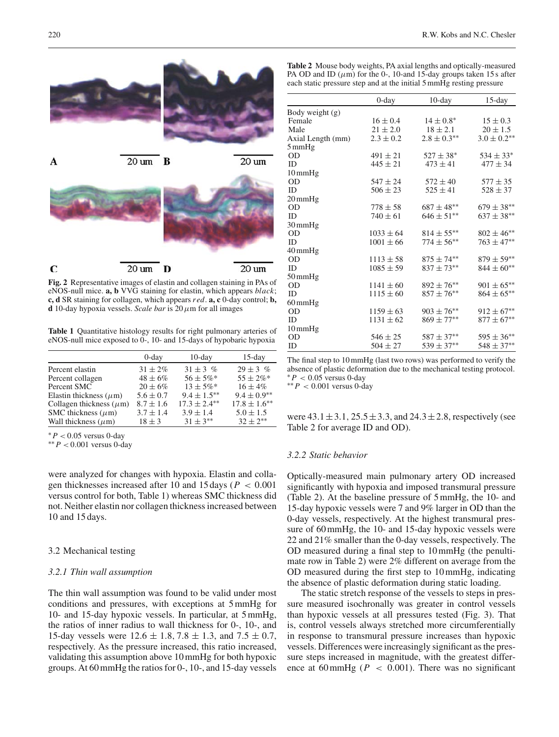

**Fig. 2** Representative images of elastin and collagen staining in PAs of eNOS-null mice. **a, b** VVG staining for elastin, which appears *black*; **c, d** SR staining for collagen, which appears *red*. **a, c** 0-day control; **b, d** 10-day hypoxia vessels. *Scale bar* is  $20 \mu$ m for all images

**Table 1** Quantitative histology results for right pulmonary arteries of eNOS-null mice exposed to 0-, 10- and 15-days of hypobaric hypoxia

|                              | $0$ -day      | $10$ -day         | $15$ -day         |
|------------------------------|---------------|-------------------|-------------------|
| Percent elastin              | $31 \pm 2\%$  | $31 \pm 3$ %      | $29 \pm 3$ %      |
| Percent collagen             | $48 \pm 6\%$  | $56 \pm 5\%$ *    | $55 \pm 2\%$ *    |
| Percent SMC                  | $20 \pm 6\%$  | $13 \pm 5\%$ *    | $16 \pm 4\%$      |
| Elastin thickness $(\mu m)$  | $5.6 \pm 0.7$ | $9.4 \pm 1.5***$  | $9.4 \pm 0.9**$   |
| Collagen thickness $(\mu m)$ | $8.7 \pm 1.6$ | $17.3 \pm 2.4***$ | $17.8 \pm 1.6***$ |
| SMC thickness $(\mu m)$      | $3.7 \pm 1.4$ | $3.9 \pm 1.4$     | $5.0 \pm 1.5$     |
| Wall thickness $(\mu m)$     | $18 \pm 3$    | $31 \pm 3^{**}$   | $32 \pm 2^{**}$   |

∗*P* < 0.05 versus 0-day

∗∗*P* < 0.001 versus 0-day

were analyzed for changes with hypoxia. Elastin and collagen thicknesses increased after 10 and 15 days (*P* < 0.001 versus control for both, Table 1) whereas SMC thickness did not. Neither elastin nor collagen thickness increased between 10 and 15 days.

#### 3.2 Mechanical testing

# *3.2.1 Thin wall assumption*

The thin wall assumption was found to be valid under most conditions and pressures, with exceptions at 5 mmHg for 10- and 15-day hypoxic vessels. In particular, at 5 mmHg, the ratios of inner radius to wall thickness for 0-, 10-, and 15-day vessels were  $12.6 \pm 1.8$ ,  $7.8 \pm 1.3$ , and  $7.5 \pm 0.7$ , respectively. As the pressure increased, this ratio increased, validating this assumption above 10 mmHg for both hypoxic groups. At 60 mmHg the ratios for 0-, 10-, and 15-day vessels **Table 2** Mouse body weights, PA axial lengths and optically-measured PA OD and ID  $(\mu m)$  for the 0-, 10-and 15-day groups taken 15 s after each static pressure step and at the initial 5 mmHg resting pressure

|                   | $0$ -day      | $10$ -day        | $15$ -day         |
|-------------------|---------------|------------------|-------------------|
| Body weight (g)   |               |                  |                   |
| Female            | $16 \pm 0.4$  | $14 \pm 0.8^*$   | $15 \pm 0.3$      |
| Male              | $21 \pm 2.0$  | $18 \pm 2.1$     | $20 \pm 1.5$      |
| Axial Length (mm) | $2.3 \pm 0.2$ | $2.8 \pm 0.3$ ** | $3.0 \pm 0.2$ **  |
| $5 \text{ mmHg}$  |               |                  |                   |
| <b>OD</b>         | $491 \pm 21$  | $527 \pm 38$ *   | $534 \pm 33*$     |
| <b>ID</b>         | $445 \pm 21$  | $473 \pm 41$     | $477 \pm 34$      |
| $10 \text{mmHg}$  |               |                  |                   |
| <b>OD</b>         | $547 \pm 24$  | $572 \pm 40$     | $577 \pm 35$      |
| <b>ID</b>         | $506 \pm 23$  | $525 \pm 41$     | $528 \pm 37$      |
| $20 \text{ mmHg}$ |               |                  |                   |
| <b>OD</b>         | $778 \pm 58$  | $687 \pm 48***$  | $679 \pm 38***$   |
| <b>ID</b>         | $740 \pm 61$  | $646 \pm 51***$  | $637 \pm 38^{**}$ |
| $30 \text{mmHg}$  |               |                  |                   |
| <b>OD</b>         | $1033 \pm 64$ | $814 \pm 55***$  | $802 \pm 46***$   |
| <b>ID</b>         | $1001 \pm 66$ | $774 \pm 56***$  | $763 \pm 47***$   |
| $40 \text{mmHg}$  |               |                  |                   |
| <b>OD</b>         | $1113 \pm 58$ | $875 \pm 74***$  | $879 \pm 59^{**}$ |
| <b>ID</b>         | $1085 \pm 59$ | $837 \pm 73***$  | $844 \pm 60**$    |
| $50 \text{mmHg}$  |               |                  |                   |
| <b>OD</b>         | $1141 \pm 60$ | $892 \pm 76***$  | $901 \pm 65***$   |
| ID                | $1115 \pm 60$ | $857 \pm 76***$  | $864 \pm 65***$   |
| $60 \text{mmHg}$  |               |                  |                   |
| <b>OD</b>         | $1159 \pm 63$ | $903 \pm 76$ **  | $912 \pm 67^{**}$ |
| <b>ID</b>         | $1131 \pm 62$ | $869 \pm 77***$  | $877 \pm 67***$   |
| $10 \text{mmHg}$  |               |                  |                   |
| <b>OD</b>         | $546 \pm 25$  | $587 \pm 37***$  | $595 \pm 36***$   |
| ID                | $504 \pm 27$  | $539 \pm 37***$  | $548 \pm 37***$   |

The final step to 10 mmHg (last two rows) was performed to verify the absence of plastic deformation due to the mechanical testing protocol. ∗*P* < 0.05 versus 0-day

∗∗*P* < 0.001 versus 0-day

were  $43.1 \pm 3.1$ ,  $25.5 \pm 3.3$ , and  $24.3 \pm 2.8$ , respectively (see Table 2 for average ID and OD).

## *3.2.2 Static behavior*

Optically-measured main pulmonary artery OD increased significantly with hypoxia and imposed transmural pressure (Table 2). At the baseline pressure of 5 mmHg, the 10- and 15-day hypoxic vessels were 7 and 9% larger in OD than the 0-day vessels, respectively. At the highest transmural pressure of 60 mmHg, the 10- and 15-day hypoxic vessels were 22 and 21% smaller than the 0-day vessels, respectively. The OD measured during a final step to 10 mmHg (the penultimate row in Table 2) were 2% different on average from the OD measured during the first step to 10 mmHg, indicating the absence of plastic deformation during static loading.

The static stretch response of the vessels to steps in pressure measured isochronally was greater in control vessels than hypoxic vessels at all pressures tested (Fig. 3). That is, control vessels always stretched more circumferentially in response to transmural pressure increases than hypoxic vessels. Differences were increasingly significant as the pressure steps increased in magnitude, with the greatest difference at 60 mmHg ( $P < 0.001$ ). There was no significant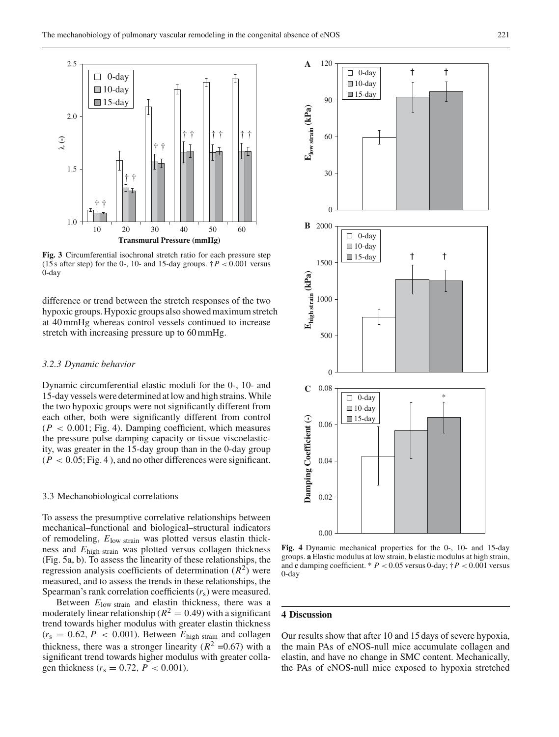

**Fig. 3** Circumferential isochronal stretch ratio for each pressure step (15 s after step) for the 0-, 10- and 15-day groups.  $\dagger P < 0.001$  versus 0-day

difference or trend between the stretch responses of the two hypoxic groups. Hypoxic groups also showed maximum stretch at 40 mmHg whereas control vessels continued to increase stretch with increasing pressure up to 60 mmHg.

#### *3.2.3 Dynamic behavior*

Dynamic circumferential elastic moduli for the 0-, 10- and 15-day vessels were determined at low and high strains. While the two hypoxic groups were not significantly different from each other, both were significantly different from control  $(P < 0.001$ ; Fig. 4). Damping coefficient, which measures the pressure pulse damping capacity or tissue viscoelasticity, was greater in the 15-day group than in the 0-day group  $(P < 0.05; Fig. 4)$ , and no other differences were significant.

# 3.3 Mechanobiological correlations

To assess the presumptive correlative relationships between mechanical–functional and biological–structural indicators of remodeling, *E*low strain was plotted versus elastin thickness and *E*high strain was plotted versus collagen thickness (Fig. 5a, b). To assess the linearity of these relationships, the regression analysis coefficients of determination  $(R^2)$  were measured, and to assess the trends in these relationships, the Spearman's rank correlation coefficients  $(r<sub>s</sub>)$  were measured.

Between  $E_{\text{low strain}}$  and elastin thickness, there was a moderately linear relationship ( $R^2 = 0.49$ ) with a significant trend towards higher modulus with greater elastin thickness  $(r_s = 0.62, P < 0.001)$ . Between  $E_{\text{high strain}}$  and collagen thickness, there was a stronger linearity ( $R^2$  =0.67) with a significant trend towards higher modulus with greater collagen thickness ( $r_s = 0.72$ ,  $P < 0.001$ ).



**Fig. 4** Dynamic mechanical properties for the 0-, 10- and 15-day groups. **a** Elastic modulus at low strain, **b** elastic modulus at high strain, and **c** damping coefficient. \*  $P < 0.05$  versus 0-day;  $\dagger P < 0.001$  versus 0-day

# **4 Discussion**

Our results show that after 10 and 15 days of severe hypoxia, the main PAs of eNOS-null mice accumulate collagen and elastin, and have no change in SMC content. Mechanically, the PAs of eNOS-null mice exposed to hypoxia stretched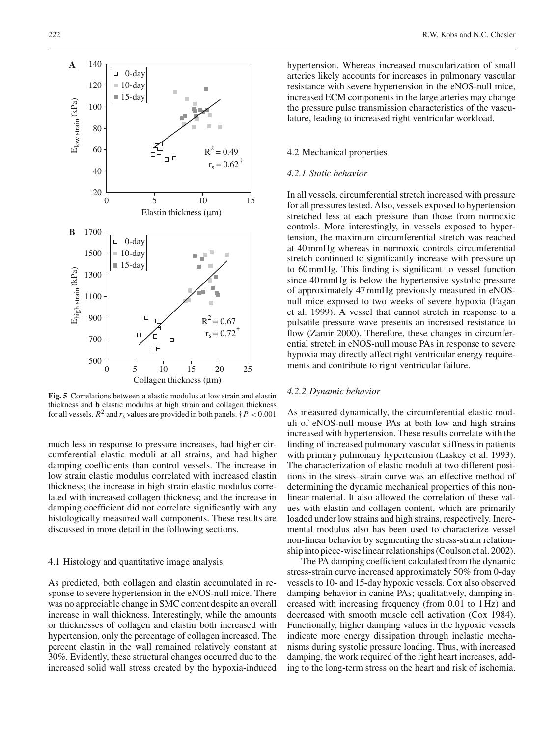

**Fig. 5** Correlations between **a** elastic modulus at low strain and elastin thickness and **b** elastic modulus at high strain and collagen thickness for all vessels.  $R^2$  and  $r_s$  values are provided in both panels.  $\dagger P < 0.001$ 

much less in response to pressure increases, had higher circumferential elastic moduli at all strains, and had higher damping coefficients than control vessels. The increase in low strain elastic modulus correlated with increased elastin thickness; the increase in high strain elastic modulus correlated with increased collagen thickness; and the increase in damping coefficient did not correlate significantly with any histologically measured wall components. These results are discussed in more detail in the following sections.

# 4.1 Histology and quantitative image analysis

As predicted, both collagen and elastin accumulated in response to severe hypertension in the eNOS-null mice. There was no appreciable change in SMC content despite an overall increase in wall thickness. Interestingly, while the amounts or thicknesses of collagen and elastin both increased with hypertension, only the percentage of collagen increased. The percent elastin in the wall remained relatively constant at 30%. Evidently, these structural changes occurred due to the increased solid wall stress created by the hypoxia-induced hypertension. Whereas increased muscularization of small arteries likely accounts for increases in pulmonary vascular resistance with severe hypertension in the eNOS-null mice, increased ECM components in the large arteries may change the pressure pulse transmission characteristics of the vasculature, leading to increased right ventricular workload.

## 4.2 Mechanical properties

## *4.2.1 Static behavior*

In all vessels, circumferential stretch increased with pressure for all pressures tested. Also, vessels exposed to hypertension stretched less at each pressure than those from normoxic controls. More interestingly, in vessels exposed to hypertension, the maximum circumferential stretch was reached at 40 mmHg whereas in normoxic controls circumferential stretch continued to significantly increase with pressure up to 60 mmHg. This finding is significant to vessel function since 40 mmHg is below the hypertensive systolic pressure of approximately 47 mmHg previously measured in eNOSnull mice exposed to two weeks of severe hypoxia (Fagan et al. 1999). A vessel that cannot stretch in response to a pulsatile pressure wave presents an increased resistance to flow (Zamir 2000). Therefore, these changes in circumferential stretch in eNOS-null mouse PAs in response to severe hypoxia may directly affect right ventricular energy requirements and contribute to right ventricular failure.

## *4.2.2 Dynamic behavior*

As measured dynamically, the circumferential elastic moduli of eNOS-null mouse PAs at both low and high strains increased with hypertension. These results correlate with the finding of increased pulmonary vascular stiffness in patients with primary pulmonary hypertension (Laskey et al. 1993). The characterization of elastic moduli at two different positions in the stress–strain curve was an effective method of determining the dynamic mechanical properties of this nonlinear material. It also allowed the correlation of these values with elastin and collagen content, which are primarily loaded under low strains and high strains, respectively. Incremental modulus also has been used to characterize vessel non-linear behavior by segmenting the stress-strain relationship into piece-wise linear relationships (Coulson et al. 2002).

The PA damping coefficient calculated from the dynamic stress-strain curve increased approximately 50% from 0-day vessels to 10- and 15-day hypoxic vessels. Cox also observed damping behavior in canine PAs; qualitatively, damping increased with increasing frequency (from 0.01 to 1 Hz) and decreased with smooth muscle cell activation (Cox 1984). Functionally, higher damping values in the hypoxic vessels indicate more energy dissipation through inelastic mechanisms during systolic pressure loading. Thus, with increased damping, the work required of the right heart increases, adding to the long-term stress on the heart and risk of ischemia.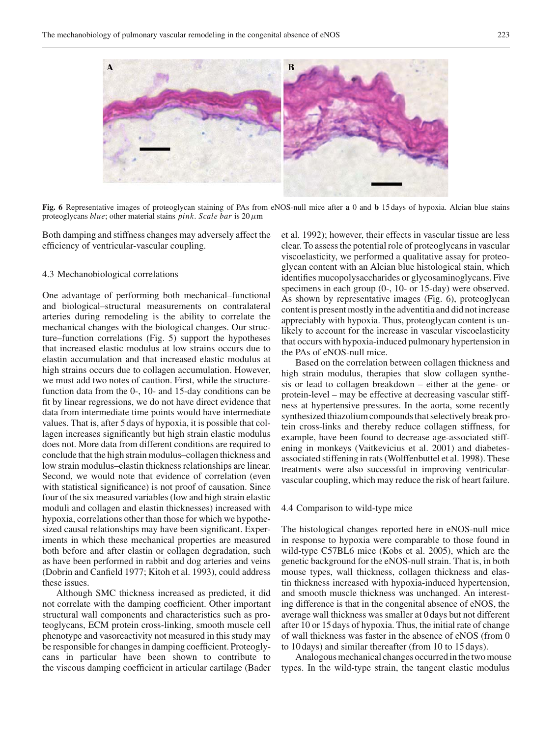

**Fig. 6** Representative images of proteoglycan staining of PAs from eNOS-null mice after **a** 0 and **b** 15 days of hypoxia. Alcian blue stains proteoglycans *blue*; other material stains *pink*. *Scale bar* is 20μm

Both damping and stiffness changes may adversely affect the efficiency of ventricular-vascular coupling.

#### 4.3 Mechanobiological correlations

One advantage of performing both mechanical–functional and biological–structural measurements on contralateral arteries during remodeling is the ability to correlate the mechanical changes with the biological changes. Our structure–function correlations (Fig. 5) support the hypotheses that increased elastic modulus at low strains occurs due to elastin accumulation and that increased elastic modulus at high strains occurs due to collagen accumulation. However, we must add two notes of caution. First, while the structurefunction data from the 0-, 10- and 15-day conditions can be fit by linear regressions, we do not have direct evidence that data from intermediate time points would have intermediate values. That is, after 5 days of hypoxia, it is possible that collagen increases significantly but high strain elastic modulus does not. More data from different conditions are required to conclude that the high strain modulus–collagen thickness and low strain modulus–elastin thickness relationships are linear. Second, we would note that evidence of correlation (even with statistical significance) is not proof of causation. Since four of the six measured variables (low and high strain elastic moduli and collagen and elastin thicknesses) increased with hypoxia, correlations other than those for which we hypothesized causal relationships may have been significant. Experiments in which these mechanical properties are measured both before and after elastin or collagen degradation, such as have been performed in rabbit and dog arteries and veins (Dobrin and Canfield 1977; Kitoh et al. 1993), could address these issues.

Although SMC thickness increased as predicted, it did not correlate with the damping coefficient. Other important structural wall components and characteristics such as proteoglycans, ECM protein cross-linking, smooth muscle cell phenotype and vasoreactivity not measured in this study may be responsible for changes in damping coefficient. Proteoglycans in particular have been shown to contribute to the viscous damping coefficient in articular cartilage (Bader et al. 1992); however, their effects in vascular tissue are less clear. To assess the potential role of proteoglycans in vascular viscoelasticity, we performed a qualitative assay for proteoglycan content with an Alcian blue histological stain, which identifies mucopolysaccharides or glycosaminoglycans. Five specimens in each group (0-, 10- or 15-day) were observed. As shown by representative images (Fig. 6), proteoglycan content is present mostly in the adventitia and did not increase appreciably with hypoxia. Thus, proteoglycan content is unlikely to account for the increase in vascular viscoelasticity that occurs with hypoxia-induced pulmonary hypertension in the PAs of eNOS-null mice.

Based on the correlation between collagen thickness and high strain modulus, therapies that slow collagen synthesis or lead to collagen breakdown – either at the gene- or protein-level – may be effective at decreasing vascular stiffness at hypertensive pressures. In the aorta, some recently synthesized thiazolium compounds that selectively break protein cross-links and thereby reduce collagen stiffness, for example, have been found to decrease age-associated stiffening in monkeys (Vaitkevicius et al. 2001) and diabetesassociated stiffening in rats (Wolffenbuttel et al. 1998). These treatments were also successful in improving ventricularvascular coupling, which may reduce the risk of heart failure.

#### 4.4 Comparison to wild-type mice

The histological changes reported here in eNOS-null mice in response to hypoxia were comparable to those found in wild-type C57BL6 mice (Kobs et al. 2005), which are the genetic background for the eNOS-null strain. That is, in both mouse types, wall thickness, collagen thickness and elastin thickness increased with hypoxia-induced hypertension, and smooth muscle thickness was unchanged. An interesting difference is that in the congenital absence of eNOS, the average wall thickness was smaller at 0 days but not different after 10 or 15 days of hypoxia. Thus, the initial rate of change of wall thickness was faster in the absence of eNOS (from 0 to 10 days) and similar thereafter (from 10 to 15 days).

Analogous mechanical changes occurred in the two mouse types. In the wild-type strain, the tangent elastic modulus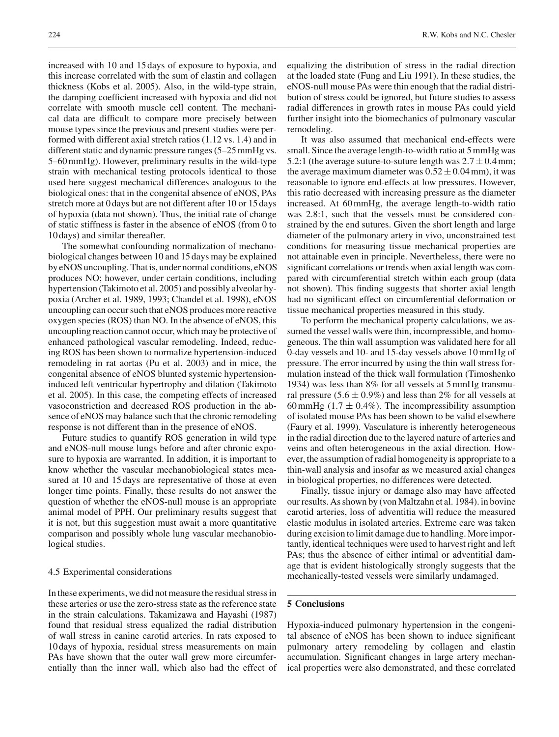increased with 10 and 15 days of exposure to hypoxia, and this increase correlated with the sum of elastin and collagen thickness (Kobs et al. 2005). Also, in the wild-type strain, the damping coefficient increased with hypoxia and did not correlate with smooth muscle cell content. The mechanical data are difficult to compare more precisely between mouse types since the previous and present studies were performed with different axial stretch ratios (1.12 vs. 1.4) and in different static and dynamic pressure ranges (5–25 mmHg vs. 5–60 mmHg). However, preliminary results in the wild-type strain with mechanical testing protocols identical to those used here suggest mechanical differences analogous to the biological ones: that in the congenital absence of eNOS, PAs stretch more at 0 days but are not different after 10 or 15 days of hypoxia (data not shown). Thus, the initial rate of change of static stiffness is faster in the absence of eNOS (from 0 to 10 days) and similar thereafter.

The somewhat confounding normalization of mechanobiological changes between 10 and 15 days may be explained by eNOS uncoupling. That is, under normal conditions, eNOS produces NO; however, under certain conditions, including hypertension (Takimoto et al. 2005) and possibly alveolar hypoxia (Archer et al. 1989, 1993; Chandel et al. 1998), eNOS uncoupling can occur such that eNOS produces more reactive oxygen species (ROS) than NO. In the absence of eNOS, this uncoupling reaction cannot occur, which may be protective of enhanced pathological vascular remodeling. Indeed, reducing ROS has been shown to normalize hypertension-induced remodeling in rat aortas (Pu et al. 2003) and in mice, the congenital absence of eNOS blunted systemic hypertensioninduced left ventricular hypertrophy and dilation (Takimoto et al. 2005). In this case, the competing effects of increased vasoconstriction and decreased ROS production in the absence of eNOS may balance such that the chronic remodeling response is not different than in the presence of eNOS.

Future studies to quantify ROS generation in wild type and eNOS-null mouse lungs before and after chronic exposure to hypoxia are warranted. In addition, it is important to know whether the vascular mechanobiological states measured at 10 and 15 days are representative of those at even longer time points. Finally, these results do not answer the question of whether the eNOS-null mouse is an appropriate animal model of PPH. Our preliminary results suggest that it is not, but this suggestion must await a more quantitative comparison and possibly whole lung vascular mechanobiological studies.

## 4.5 Experimental considerations

In these experiments, we did not measure the residual stress in these arteries or use the zero-stress state as the reference state in the strain calculations. Takamizawa and Hayashi (1987) found that residual stress equalized the radial distribution of wall stress in canine carotid arteries. In rats exposed to 10 days of hypoxia, residual stress measurements on main PAs have shown that the outer wall grew more circumferentially than the inner wall, which also had the effect of equalizing the distribution of stress in the radial direction at the loaded state (Fung and Liu 1991). In these studies, the eNOS-null mouse PAs were thin enough that the radial distribution of stress could be ignored, but future studies to assess radial differences in growth rates in mouse PAs could yield further insight into the biomechanics of pulmonary vascular remodeling.

It was also assumed that mechanical end-effects were small. Since the average length-to-width ratio at 5 mmHg was 5.2:1 (the average suture-to-suture length was  $2.7 \pm 0.4$  mm; the average maximum diameter was  $0.52 \pm 0.04$  mm), it was reasonable to ignore end-effects at low pressures. However, this ratio decreased with increasing pressure as the diameter increased. At 60 mmHg, the average length-to-width ratio was 2.8:1, such that the vessels must be considered constrained by the end sutures. Given the short length and large diameter of the pulmonary artery in vivo, unconstrained test conditions for measuring tissue mechanical properties are not attainable even in principle. Nevertheless, there were no significant correlations or trends when axial length was compared with circumferential stretch within each group (data not shown). This finding suggests that shorter axial length had no significant effect on circumferential deformation or tissue mechanical properties measured in this study.

To perform the mechanical property calculations, we assumed the vessel walls were thin, incompressible, and homogeneous. The thin wall assumption was validated here for all 0-day vessels and 10- and 15-day vessels above 10 mmHg of pressure. The error incurred by using the thin wall stress formulation instead of the thick wall formulation (Timoshenko 1934) was less than 8% for all vessels at 5 mmHg transmural pressure (5.6  $\pm$  0.9%) and less than 2% for all vessels at 60 mmHg (1.7  $\pm$  0.4%). The incompressibility assumption of isolated mouse PAs has been shown to be valid elsewhere (Faury et al. 1999). Vasculature is inherently heterogeneous in the radial direction due to the layered nature of arteries and veins and often heterogeneous in the axial direction. However, the assumption of radial homogeneity is appropriate to a thin-wall analysis and insofar as we measured axial changes in biological properties, no differences were detected.

Finally, tissue injury or damage also may have affected our results. As shown by (von Maltzahn et al. 1984). in bovine carotid arteries, loss of adventitia will reduce the measured elastic modulus in isolated arteries. Extreme care was taken during excision to limit damage due to handling. More importantly, identical techniques were used to harvest right and left PAs; thus the absence of either intimal or adventitial damage that is evident histologically strongly suggests that the mechanically-tested vessels were similarly undamaged.

## **5 Conclusions**

Hypoxia-induced pulmonary hypertension in the congenital absence of eNOS has been shown to induce significant pulmonary artery remodeling by collagen and elastin accumulation. Significant changes in large artery mechanical properties were also demonstrated, and these correlated